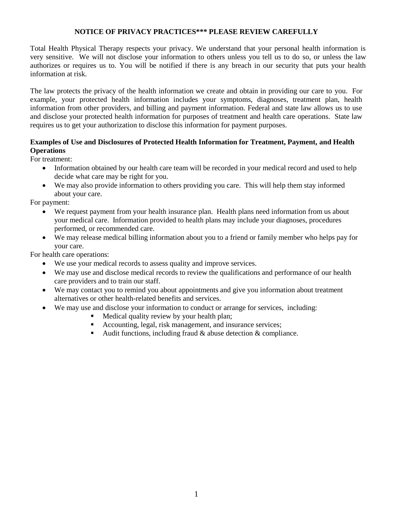### **NOTICE OF PRIVACY PRACTICES\*\*\* PLEASE REVIEW CAREFULLY**

Total Health Physical Therapy respects your privacy. We understand that your personal health information is very sensitive. We will not disclose your information to others unless you tell us to do so, or unless the law authorizes or requires us to. You will be notified if there is any breach in our security that puts your health information at risk.

The law protects the privacy of the health information we create and obtain in providing our care to you. For example, your protected health information includes your symptoms, diagnoses, treatment plan, health information from other providers, and billing and payment information. Federal and state law allows us to use and disclose your protected health information for purposes of treatment and health care operations. State law requires us to get your authorization to disclose this information for payment purposes.

### **Examples of Use and Disclosures of Protected Health Information for Treatment, Payment, and Health Operations**

For treatment:

- Information obtained by our health care team will be recorded in your medical record and used to help decide what care may be right for you.
- We may also provide information to others providing you care. This will help them stay informed about your care.

For payment:

- We request payment from your health insurance plan. Health plans need information from us about your medical care. Information provided to health plans may include your diagnoses, procedures performed, or recommended care.
- We may release medical billing information about you to a friend or family member who helps pay for your care.

For health care operations:

- We use your medical records to assess quality and improve services.
- We may use and disclose medical records to review the qualifications and performance of our health care providers and to train our staff.
- We may contact you to remind you about appointments and give you information about treatment alternatives or other health-related benefits and services.
- We may use and disclose your information to conduct or arrange for services, including:
	- Medical quality review by your health plan;
	- Accounting, legal, risk management, and insurance services;
	- Audit functions, including fraud  $\&$  abuse detection  $\&$  compliance.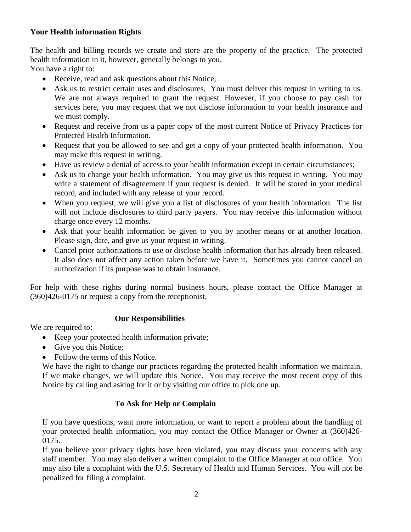# **Your Health information Rights**

The health and billing records we create and store are the property of the practice. The protected health information in it, however, generally belongs to you.

You have a right to:

- Receive, read and ask questions about this Notice;
- Ask us to restrict certain uses and disclosures. You must deliver this request in writing to us. We are not always required to grant the request. However, if you choose to pay cash for services here, you may request that we not disclose information to your health insurance and we must comply.
- Request and receive from us a paper copy of the most current Notice of Privacy Practices for Protected Health Information.
- Request that you be allowed to see and get a copy of your protected health information. You may make this request in writing.
- Have us review a denial of access to your health information except in certain circumstances;
- Ask us to change your health information. You may give us this request in writing. You may write a statement of disagreement if your request is denied. It will be stored in your medical record, and included with any release of your record.
- When you request, we will give you a list of disclosures of your health information. The list will not include disclosures to third party payers. You may receive this information without charge once every 12 months.
- Ask that your health information be given to you by another means or at another location. Please sign, date, and give us your request in writing.
- Cancel prior authorizations to use or disclose health information that has already been released. It also does not affect any action taken before we have it. Sometimes you cannot cancel an authorization if its purpose was to obtain insurance.

For help with these rights during normal business hours, please contact the Office Manager at (360)426-0175 or request a copy from the receptionist.

## **Our Responsibilities**

We are required to:

- Keep your protected health information private;
- Give you this Notice;
- Follow the terms of this Notice.

We have the right to change our practices regarding the protected health information we maintain. If we make changes, we will update this Notice. You may receive the most recent copy of this Notice by calling and asking for it or by visiting our office to pick one up.

## **To Ask for Help or Complain**

If you have questions, want more information, or want to report a problem about the handling of your protected health information, you may contact the Office Manager or Owner at (360)426- 0175.

If you believe your privacy rights have been violated, you may discuss your concerns with any staff member. You may also deliver a written complaint to the Office Manager at our office. You may also file a complaint with the U.S. Secretary of Health and Human Services. You will not be penalized for filing a complaint.